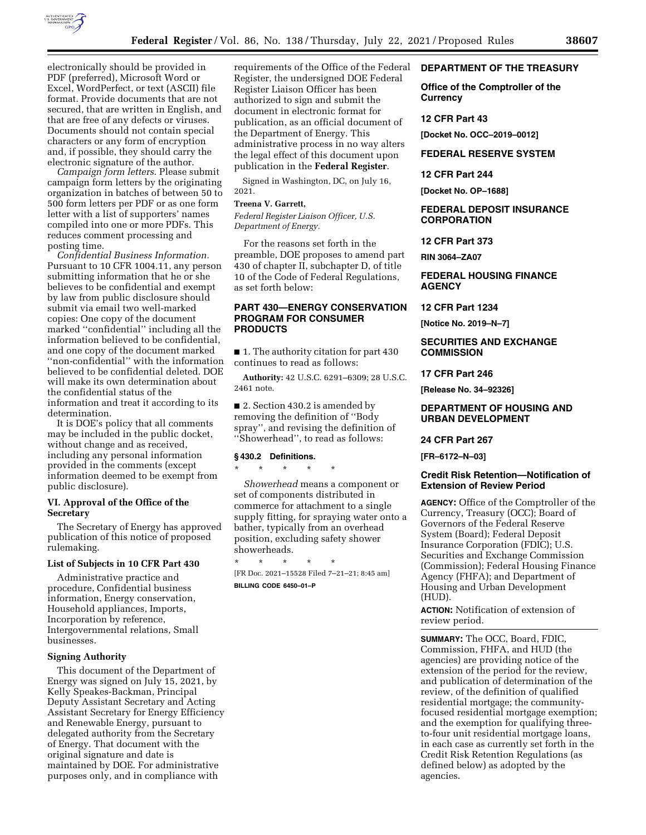

electronically should be provided in PDF (preferred), Microsoft Word or Excel, WordPerfect, or text (ASCII) file format. Provide documents that are not secured, that are written in English, and that are free of any defects or viruses. Documents should not contain special characters or any form of encryption and, if possible, they should carry the electronic signature of the author.

*Campaign form letters.* Please submit campaign form letters by the originating organization in batches of between 50 to 500 form letters per PDF or as one form letter with a list of supporters' names compiled into one or more PDFs. This reduces comment processing and posting time.

*Confidential Business Information.*  Pursuant to 10 CFR 1004.11, any person submitting information that he or she believes to be confidential and exempt by law from public disclosure should submit via email two well-marked copies: One copy of the document marked ''confidential'' including all the information believed to be confidential, and one copy of the document marked ''non-confidential'' with the information believed to be confidential deleted. DOE will make its own determination about the confidential status of the information and treat it according to its determination.

It is DOE's policy that all comments may be included in the public docket, without change and as received, including any personal information provided in the comments (except information deemed to be exempt from public disclosure).

# **VI. Approval of the Office of the Secretary**

The Secretary of Energy has approved publication of this notice of proposed rulemaking.

### **List of Subjects in 10 CFR Part 430**

Administrative practice and procedure, Confidential business information, Energy conservation, Household appliances, Imports, Incorporation by reference, Intergovernmental relations, Small businesses.

## **Signing Authority**

This document of the Department of Energy was signed on July 15, 2021, by Kelly Speakes-Backman, Principal Deputy Assistant Secretary and Acting Assistant Secretary for Energy Efficiency and Renewable Energy, pursuant to delegated authority from the Secretary of Energy. That document with the original signature and date is maintained by DOE. For administrative purposes only, and in compliance with

requirements of the Office of the Federal Register, the undersigned DOE Federal Register Liaison Officer has been authorized to sign and submit the document in electronic format for publication, as an official document of the Department of Energy. This administrative process in no way alters the legal effect of this document upon publication in the **Federal Register**.

Signed in Washington, DC, on July 16, 2021.

## **Treena V. Garrett,**

*Federal Register Liaison Officer, U.S. Department of Energy.* 

For the reasons set forth in the preamble, DOE proposes to amend part 430 of chapter II, subchapter D, of title 10 of the Code of Federal Regulations, as set forth below:

# **PART 430—ENERGY CONSERVATION PROGRAM FOR CONSUMER PRODUCTS**

■ 1. The authority citation for part 430 continues to read as follows:

**Authority:** 42 U.S.C. 6291–6309; 28 U.S.C. 2461 note.

■ 2. Section 430.2 is amended by removing the definition of ''Body spray'', and revising the definition of ''Showerhead'', to read as follows:

# **§ 430.2 Definitions.**

\* \* \* \* \*

*Showerhead* means a component or set of components distributed in commerce for attachment to a single supply fitting, for spraying water onto a bather, typically from an overhead position, excluding safety shower showerheads.

\* \* \* \* \* [FR Doc. 2021–15528 Filed 7–21–21; 8:45 am] **BILLING CODE 6450–01–P** 

## **DEPARTMENT OF THE TREASURY**

**Office of the Comptroller of the Currency** 

### **12 CFR Part 43**

**[Docket No. OCC–2019–0012]** 

**FEDERAL RESERVE SYSTEM** 

#### **12 CFR Part 244**

**[Docket No. OP–1688]** 

## **FEDERAL DEPOSIT INSURANCE CORPORATION**

#### **12 CFR Part 373**

**RIN 3064–ZA07** 

**FEDERAL HOUSING FINANCE AGENCY** 

#### **12 CFR Part 1234**

**[Notice No. 2019–N–7]** 

## **SECURITIES AND EXCHANGE COMMISSION**

### **17 CFR Part 246**

**[Release No. 34–92326]** 

## **DEPARTMENT OF HOUSING AND URBAN DEVELOPMENT**

## **24 CFR Part 267**

**[FR–6172–N–03]** 

### **Credit Risk Retention—Notification of Extension of Review Period**

**AGENCY:** Office of the Comptroller of the Currency, Treasury (OCC); Board of Governors of the Federal Reserve System (Board); Federal Deposit Insurance Corporation (FDIC); U.S. Securities and Exchange Commission (Commission); Federal Housing Finance Agency (FHFA); and Department of Housing and Urban Development (HUD).

**ACTION:** Notification of extension of review period.

**SUMMARY:** The OCC, Board, FDIC, Commission, FHFA, and HUD (the agencies) are providing notice of the extension of the period for the review, and publication of determination of the review, of the definition of qualified residential mortgage; the communityfocused residential mortgage exemption; and the exemption for qualifying threeto-four unit residential mortgage loans, in each case as currently set forth in the Credit Risk Retention Regulations (as defined below) as adopted by the agencies.